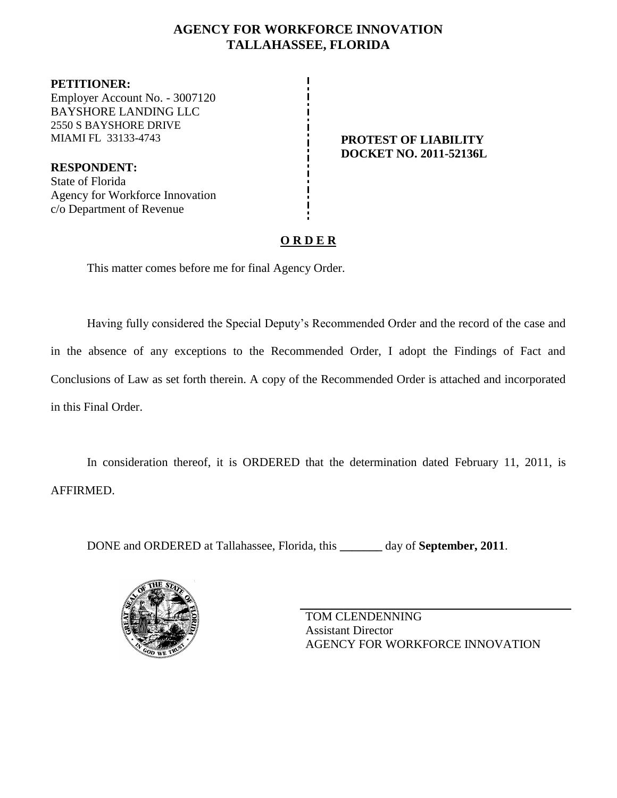## **AGENCY FOR WORKFORCE INNOVATION TALLAHASSEE, FLORIDA**

**PETITIONER:** Employer Account No. - 3007120 BAYSHORE LANDING LLC 2550 S BAYSHORE DRIVE MIAMI FL 33133-4743 **PROTEST OF LIABILITY**

**RESPONDENT:** State of Florida Agency for Workforce Innovation c/o Department of Revenue

# **DOCKET NO. 2011-52136L**

## **O R D E R**

This matter comes before me for final Agency Order.

Having fully considered the Special Deputy's Recommended Order and the record of the case and in the absence of any exceptions to the Recommended Order, I adopt the Findings of Fact and Conclusions of Law as set forth therein. A copy of the Recommended Order is attached and incorporated in this Final Order.

In consideration thereof, it is ORDERED that the determination dated February 11, 2011, is AFFIRMED.

DONE and ORDERED at Tallahassee, Florida, this **\_\_\_\_\_\_\_** day of **September, 2011**.



TOM CLENDENNING Assistant Director AGENCY FOR WORKFORCE INNOVATION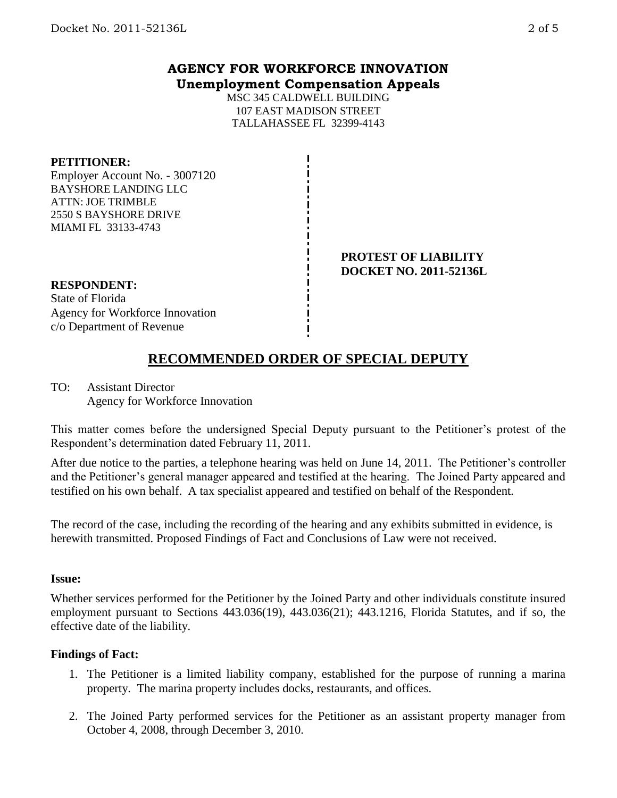### **AGENCY FOR WORKFORCE INNOVATION Unemployment Compensation Appeals**

MSC 345 CALDWELL BUILDING 107 EAST MADISON STREET TALLAHASSEE FL 32399-4143

#### **PETITIONER:**

Employer Account No. - 3007120 BAYSHORE LANDING LLC ATTN: JOE TRIMBLE 2550 S BAYSHORE DRIVE MIAMI FL 33133-4743

#### **PROTEST OF LIABILITY DOCKET NO. 2011-52136L**

#### **RESPONDENT:**

State of Florida Agency for Workforce Innovation c/o Department of Revenue

# **RECOMMENDED ORDER OF SPECIAL DEPUTY**

TO: Assistant Director Agency for Workforce Innovation

This matter comes before the undersigned Special Deputy pursuant to the Petitioner's protest of the Respondent's determination dated February 11, 2011.

After due notice to the parties, a telephone hearing was held on June 14, 2011. The Petitioner's controller and the Petitioner's general manager appeared and testified at the hearing. The Joined Party appeared and testified on his own behalf. A tax specialist appeared and testified on behalf of the Respondent.

The record of the case, including the recording of the hearing and any exhibits submitted in evidence, is herewith transmitted. Proposed Findings of Fact and Conclusions of Law were not received.

#### **Issue:**

Whether services performed for the Petitioner by the Joined Party and other individuals constitute insured employment pursuant to Sections 443.036(19), 443.036(21); 443.1216, Florida Statutes, and if so, the effective date of the liability.

#### **Findings of Fact:**

- 1. The Petitioner is a limited liability company, established for the purpose of running a marina property. The marina property includes docks, restaurants, and offices.
- 2. The Joined Party performed services for the Petitioner as an assistant property manager from October 4, 2008, through December 3, 2010.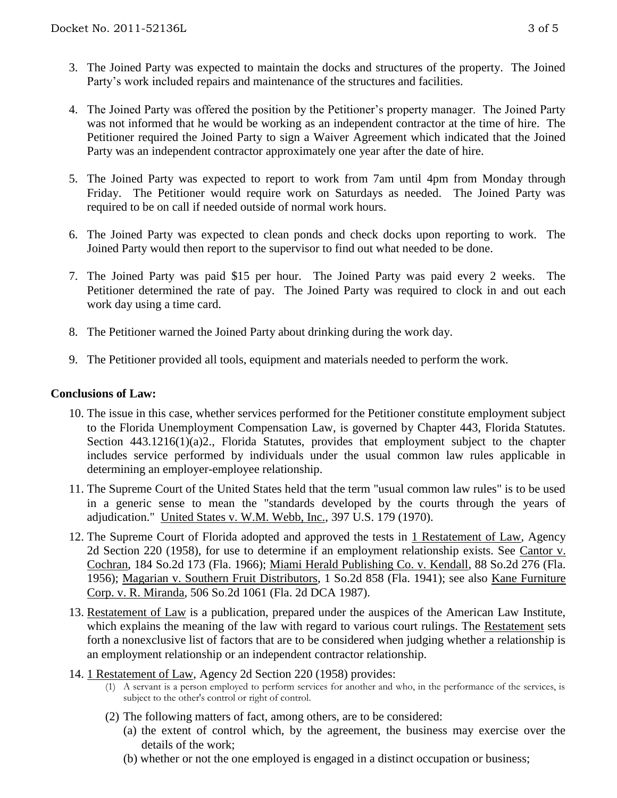- 3. The Joined Party was expected to maintain the docks and structures of the property. The Joined Party's work included repairs and maintenance of the structures and facilities.
- 4. The Joined Party was offered the position by the Petitioner's property manager. The Joined Party was not informed that he would be working as an independent contractor at the time of hire. The Petitioner required the Joined Party to sign a Waiver Agreement which indicated that the Joined Party was an independent contractor approximately one year after the date of hire.
- 5. The Joined Party was expected to report to work from 7am until 4pm from Monday through Friday. The Petitioner would require work on Saturdays as needed. The Joined Party was required to be on call if needed outside of normal work hours.
- 6. The Joined Party was expected to clean ponds and check docks upon reporting to work. The Joined Party would then report to the supervisor to find out what needed to be done.
- 7. The Joined Party was paid \$15 per hour. The Joined Party was paid every 2 weeks. The Petitioner determined the rate of pay. The Joined Party was required to clock in and out each work day using a time card.
- 8. The Petitioner warned the Joined Party about drinking during the work day.
- 9. The Petitioner provided all tools, equipment and materials needed to perform the work.

#### **Conclusions of Law:**

- 10. The issue in this case, whether services performed for the Petitioner constitute employment subject to the Florida Unemployment Compensation Law, is governed by Chapter 443, Florida Statutes. Section 443.1216(1)(a)2., Florida Statutes, provides that employment subject to the chapter includes service performed by individuals under the usual common law rules applicable in determining an employer-employee relationship.
- 11. The Supreme Court of the United States held that the term "usual common law rules" is to be used in a generic sense to mean the "standards developed by the courts through the years of adjudication." United States v. W.M. Webb, Inc., 397 U.S. 179 (1970).
- 12. The Supreme Court of Florida adopted and approved the tests in 1 Restatement of Law, Agency 2d Section 220 (1958), for use to determine if an employment relationship exists. See Cantor v. Cochran, 184 So.2d 173 (Fla. 1966); Miami Herald Publishing Co. v. Kendall, 88 So.2d 276 (Fla. 1956); Magarian v. Southern Fruit Distributors, 1 So.2d 858 (Fla. 1941); see also Kane Furniture Corp. v. R. Miranda, 506 So.2d 1061 (Fla. 2d DCA 1987).
- 13. Restatement of Law is a publication, prepared under the auspices of the American Law Institute, which explains the meaning of the law with regard to various court rulings. The Restatement sets forth a nonexclusive list of factors that are to be considered when judging whether a relationship is an employment relationship or an independent contractor relationship.
- 14. 1 Restatement of Law, Agency 2d Section 220 (1958) provides:
	- (1) A servant is a person employed to perform services for another and who, in the performance of the services, is subject to the other's control or right of control.
	- (2) The following matters of fact, among others, are to be considered:
		- (a) the extent of control which, by the agreement, the business may exercise over the details of the work;
		- (b) whether or not the one employed is engaged in a distinct occupation or business;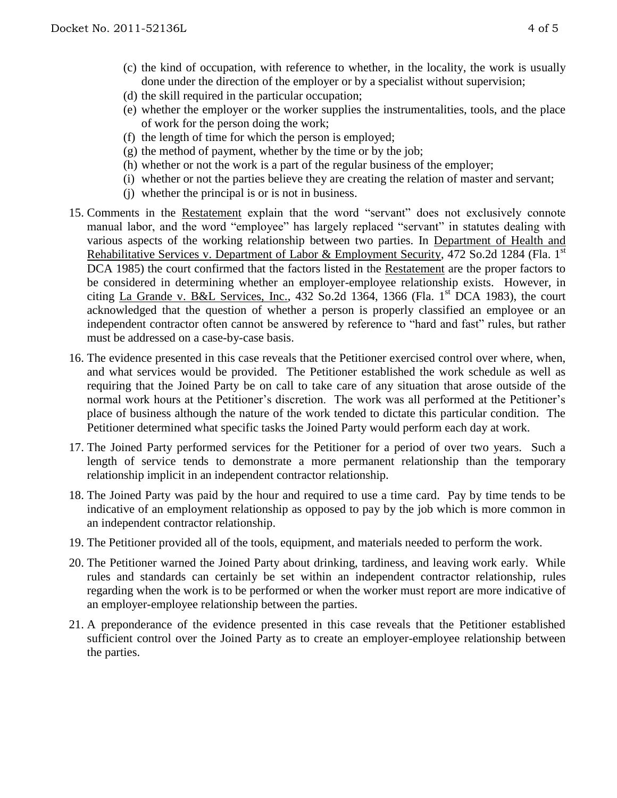- (c) the kind of occupation, with reference to whether, in the locality, the work is usually done under the direction of the employer or by a specialist without supervision;
- (d) the skill required in the particular occupation;
- (e) whether the employer or the worker supplies the instrumentalities, tools, and the place of work for the person doing the work;
- (f) the length of time for which the person is employed;
- $(g)$  the method of payment, whether by the time or by the job;
- (h) whether or not the work is a part of the regular business of the employer;
- (i) whether or not the parties believe they are creating the relation of master and servant;
- (j) whether the principal is or is not in business.
- 15. Comments in the Restatement explain that the word "servant" does not exclusively connote manual labor, and the word "employee" has largely replaced "servant" in statutes dealing with various aspects of the working relationship between two parties. In Department of Health and Rehabilitative Services v. Department of Labor & Employment Security, 472 So.2d 1284 (Fla. 1st DCA 1985) the court confirmed that the factors listed in the Restatement are the proper factors to be considered in determining whether an employer-employee relationship exists. However, in citing La Grande v. B&L Services, Inc., 432 So.2d 1364, 1366 (Fla. 1<sup>st</sup> DCA 1983), the court acknowledged that the question of whether a person is properly classified an employee or an independent contractor often cannot be answered by reference to "hard and fast" rules, but rather must be addressed on a case-by-case basis.
- 16. The evidence presented in this case reveals that the Petitioner exercised control over where, when, and what services would be provided. The Petitioner established the work schedule as well as requiring that the Joined Party be on call to take care of any situation that arose outside of the normal work hours at the Petitioner's discretion. The work was all performed at the Petitioner's place of business although the nature of the work tended to dictate this particular condition. The Petitioner determined what specific tasks the Joined Party would perform each day at work.
- 17. The Joined Party performed services for the Petitioner for a period of over two years. Such a length of service tends to demonstrate a more permanent relationship than the temporary relationship implicit in an independent contractor relationship.
- 18. The Joined Party was paid by the hour and required to use a time card. Pay by time tends to be indicative of an employment relationship as opposed to pay by the job which is more common in an independent contractor relationship.
- 19. The Petitioner provided all of the tools, equipment, and materials needed to perform the work.
- 20. The Petitioner warned the Joined Party about drinking, tardiness, and leaving work early. While rules and standards can certainly be set within an independent contractor relationship, rules regarding when the work is to be performed or when the worker must report are more indicative of an employer-employee relationship between the parties.
- 21. A preponderance of the evidence presented in this case reveals that the Petitioner established sufficient control over the Joined Party as to create an employer-employee relationship between the parties.